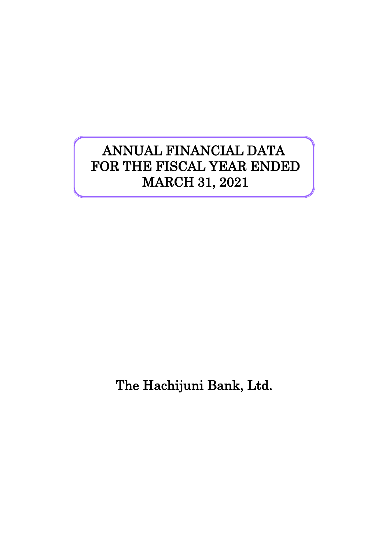# ANNUAL FINANCIAL DATA FOR THE FISCAL YEAR ENDED MARCH 31, 2021

The Hachijuni Bank, Ltd.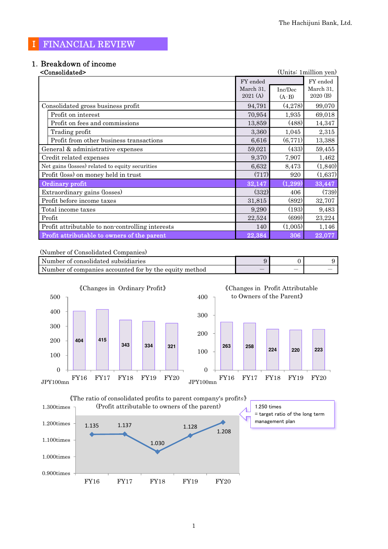### Ⅰ FINANCIAL REVIEW

# 1.Breakdown of income

| <consolidated></consolidated>                    |           |          | (Units: 1 million yen) |
|--------------------------------------------------|-----------|----------|------------------------|
|                                                  | FY ended  |          | FY ended               |
|                                                  | March 31, | Inc/Dec  | March 31,              |
|                                                  | 2021(A)   | $(A-B)$  | 2020 (B)               |
| Consolidated gross business profit               | 94,791    | (4,278)  | 99,070                 |
| Profit on interest                               | 70,954    | 1,935    | 69,018                 |
| Profit on fees and commissions                   | 13,859    | (488)    | 14,347                 |
| Trading profit                                   | 3,360     | 1,045    | 2,315                  |
| Profit from other business transactions          | 6,616     | (6,771)  | 13,388                 |
| General & administrative expenses                | 59,021    | (433)    | 59,455                 |
| Credit related expenses                          | 9,370     | 7,907    | 1,462                  |
| Net gains (losses) related to equity securities  | 6,632     | 8,473    | (1, 840)               |
| Profit (loss) on money held in trust             | (717)     | 920      | (1,637)                |
| Ordinary profit                                  | 32,147    | (1, 299) | 33,447                 |
| Extraordinary gains (losses)                     | (332)     | 406      | (739)                  |
| Profit before income taxes                       | 31,815    | (892)    | 32,707                 |
| Total income taxes                               | 9,290     | (193)    | 9,483                  |
| Profit                                           | 22,524    | (699)    | 23,224                 |
| Profit attributable to non-controlling interests | 140       | (1,005)  | 1,146                  |
| Profit attributable to owners of the parent      | 22,384    | 306      | 22,077                 |

#### (Number of Consolidated Companies)

| Number of consolidated subsidiaries                    |   |  |
|--------------------------------------------------------|---|--|
| Number of companies accounted for by the equity method | _ |  |





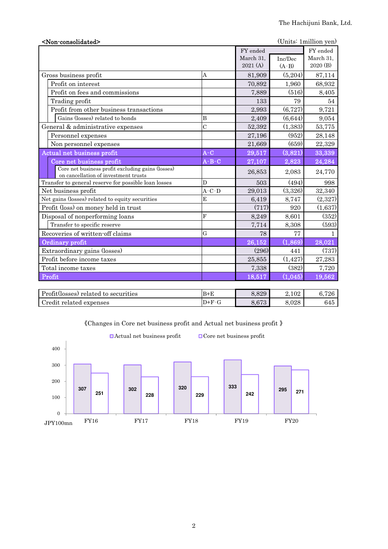| <non-consolidated></non-consolidated>                                                     |                |           |          | (Units: 1 million yen) |
|-------------------------------------------------------------------------------------------|----------------|-----------|----------|------------------------|
|                                                                                           |                | FY ended  |          | FY ended               |
|                                                                                           |                | March 31. | Inc/Dec  | March 31.              |
|                                                                                           |                | 2021(A)   | $(A-B)$  | 2020 (B)               |
| Gross business profit                                                                     | A              | 81,909    | (5,204)  | 87,114                 |
| Profit on interest                                                                        |                | 70,892    | 1,960    | 68,932                 |
| Profit on fees and commissions                                                            |                | 7,889     | (516)    | 8,405                  |
| Trading profit                                                                            |                | 133       | 79       | 54                     |
| Profit from other business transactions                                                   |                | 2.993     | (6,727)  | 9,721                  |
| Gains (losses) related to bonds                                                           | B              | 2,409     | (6,644)  | 9,054                  |
| General & administrative expenses                                                         | $\overline{C}$ | 52,392    | (1, 383) | 53,775                 |
| Personnel expenses                                                                        |                | 27,196    | (952)    | 28,148                 |
| Non personnel expenses                                                                    |                | 21,669    | (659)    | 22,329                 |
| Actual net business profit                                                                | $A-C$          | 29,517    | (3,821)  | 33,339                 |
| Core net business profit                                                                  | $A - B - C$    | 27,107    | 2,823    | 24,284                 |
| Core net business profit excluding gains (losses)<br>on cancellation of investment trusts |                | 26,853    | 2,083    | 24,770                 |
| Transfer to general reserve for possible loan losses                                      | D              | 503       | (494)    | 998                    |
| Net business profit                                                                       | $A - C - D$    | 29,013    | (3,326)  | 32,340                 |
| Net gains (losses) related to equity securities                                           | E              | 6,419     | 8,747    | (2,327)                |
| Profit (loss) on money held in trust                                                      |                | (717)     | 920      | (1,637)                |
| Disposal of nonperforming loans                                                           | F              | 8,249     | 8,601    | (352)                  |
| Transfer to specific reserve                                                              |                | 7,714     | 8,308    | (593)                  |
| Recoveries of written-off claims                                                          | $\mathbf G$    | 78        | 77       | $\mathbf{1}$           |
| Ordinary profit                                                                           |                | 26,152    | (1,869)  | 28,021                 |
| Extraordinary gains (losses)                                                              |                | (296)     | 441      | (737)                  |
| Profit before income taxes                                                                |                | 25,855    | (1, 427) | 27,283                 |
| Total income taxes                                                                        |                | 7,338     | (382)    | 7,720                  |
| Profit                                                                                    |                | 18,517    | (1,045)  | 19,562                 |
|                                                                                           |                |           |          |                        |
| Profit(losses) related to securities                                                      | $B + E$        | 8,829     | 2,102    | 6,726                  |

《Changes in Core net business profit and Actual net business profit 》

Credit related expenses  $D+F-G$  8,673 8,028 645

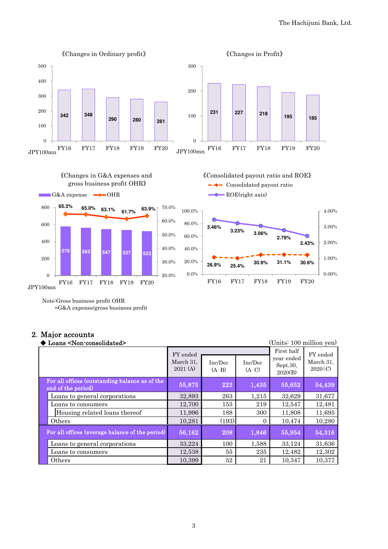

Note:Gross business profit OHR =G&A expense/gross business profit

## 2.Major accounts

| (Units: 100 million yen)<br>Loans <non-consolidated></non-consolidated> |                                  |                    |                    |                                                 |                                  |
|-------------------------------------------------------------------------|----------------------------------|--------------------|--------------------|-------------------------------------------------|----------------------------------|
|                                                                         | FY ended<br>March 31,<br>2021(A) | Inc/Dec<br>$(A-B)$ | Inc/Dec<br>$(A-C)$ | First half<br>vear ended<br>Sept.30,<br>2020(B) | FY ended<br>March 31,<br>2020(C) |
| For all offices (outstanding balance as of the<br>end of the period)    | 55,875                           | 223                | 1,435              | 55,652                                          | 54,439                           |
| Loans to general corporations                                           | 32,893                           | 263                | 1,215              | 32,629                                          | 31,677                           |
| Loans to consumers                                                      | 12,700                           | 153                | 219                | 12,547                                          | 12,481                           |
| Housing related loans thereof                                           | 11,996                           | 188                | 300                | 11,808                                          | 11,695                           |
| Others                                                                  | 10,281                           | (193)              | 0                  | 10,474                                          | 10,280                           |
| For all offices (average balance of the period)                         | 56,162                           | 208                | 1,846              | 55,954                                          | 54,316                           |
| Loans to general corporations                                           | 33,224                           | 100                | 1,588              | 33,124                                          | 31,636                           |
| Loans to consumers                                                      | 12,538                           | 55                 | 235                | 12,482                                          | 12,302                           |
| Others                                                                  | 10,399                           | 52                 | 21                 | 10,347                                          | 10,377                           |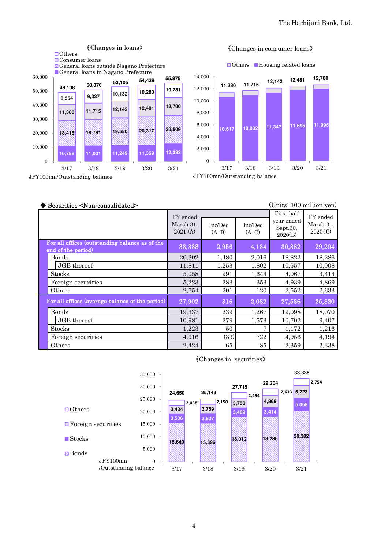

#### 《Changes in consumer loans》

**□Others** ■Housing related loans



JPY100mn/Outstanding balance

| Securities <non-consolidated></non-consolidated>                     |                                  |                    |                    | (Units: 100 million yen)                        |                                  |
|----------------------------------------------------------------------|----------------------------------|--------------------|--------------------|-------------------------------------------------|----------------------------------|
|                                                                      | FY ended<br>March 31,<br>2021(A) | Inc/Dec<br>$(A-B)$ | Inc/Dec<br>$(A-C)$ | First half<br>year ended<br>Sept.30,<br>2020(B) | FY ended<br>March 31,<br>2020(C) |
| For all offices (outstanding balance as of the<br>end of the period) | 33,338                           | 2,956              | 4,134              | 30,382                                          | 29,204                           |
| <b>Bonds</b>                                                         | 20,302                           | 1,480              | 2,016              | 18,822                                          | 18,286                           |
| JGB thereof                                                          | 11,811                           | 1,253              | 1,802              | 10,557                                          | 10,008                           |
| Stocks                                                               | 5,058                            | 991                | 1,644              | 4,067                                           | 3,414                            |
| Foreign securities                                                   | 5,223                            | 283                | 353                | 4,939                                           | 4,869                            |
| Others                                                               | 2,754                            | 201                | 120                | 2,552                                           | 2,633                            |
| For all offices (average balance of the period)                      | 27,902                           | 316                | 2,082              | 27,586                                          | 25,820                           |
| <b>Bonds</b>                                                         | 19,337                           | 239                | 1,267              | 19,098                                          | 18,070                           |
| JGB thereof                                                          | 10,981                           | 279                | 1,573              | 10,702                                          | 9,407                            |
| Stocks                                                               | 1,223                            | 50                 | 7                  | 1,172                                           | 1,216                            |
| Foreign securities                                                   | 4,916                            | (39)               | 722                | 4,956                                           | 4,194                            |
| Others                                                               | 2,424                            | 65                 | 85                 | 2,359                                           | 2,338                            |

#### 《Changes in securities》

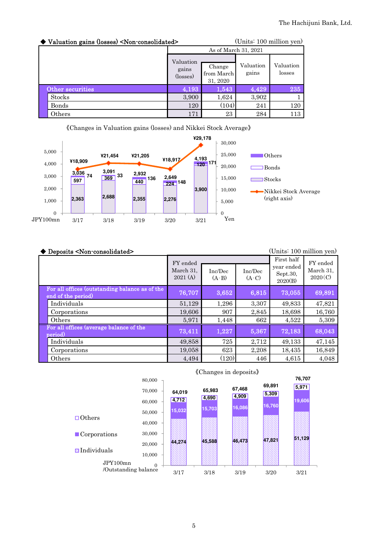| ◆ Valuation gains (losses) <non-consolidated></non-consolidated> |                                | (Units: 100 million yen)         |                      |                     |  |
|------------------------------------------------------------------|--------------------------------|----------------------------------|----------------------|---------------------|--|
|                                                                  |                                |                                  | As of March 31, 2021 |                     |  |
|                                                                  | Valuation<br>gains<br>(losses) | Change<br>from March<br>31, 2020 | Valuation<br>gains   | Valuation<br>losses |  |
| Other securities                                                 | 4,193                          | 1,543                            | 4,429                | 235                 |  |
| <b>Stocks</b>                                                    | 3,900                          | 1,624                            | 3,902                |                     |  |
| Bonds                                                            | 120                            | (104)                            | 241                  | 120                 |  |
| Others                                                           | 171                            | 23                               | 284                  | 113                 |  |



| ◆ Deposits <non-consolidated></non-consolidated>                     |                                  |                    |                    | (Units: 100 million yen)                        |                                  |
|----------------------------------------------------------------------|----------------------------------|--------------------|--------------------|-------------------------------------------------|----------------------------------|
|                                                                      | FY ended<br>March 31,<br>2021(A) | Inc/Dec<br>$(A-B)$ | Inc/Dec<br>$(A-C)$ | First half<br>year ended<br>Sept.30,<br>2020(B) | FY ended<br>March 31,<br>2020(C) |
| For all offices (outstanding balance as of the<br>end of the period) | 76,707                           | 3,652              | 6,815              | 73,055                                          | 69,891                           |
| Individuals                                                          | 51,129                           | 1,296              | 3,307              | 49,833                                          | 47,821                           |
| Corporations                                                         | 19,606                           | 907                | 2,845              | 18,698                                          | 16,760                           |
| Others                                                               | 5,971                            | 1,448              | 662                | 4,522                                           | 5,309                            |
| For all offices (average balance of the<br>period)                   | 73,411                           | 1,227              | 5,367              | 72,183                                          | 68,043                           |
| Individuals                                                          | 49,858                           | 725                | 2,712              | 49,133                                          | 47,145                           |
| Corporations                                                         | 19,058                           | 623                | 2,208              | 18,435                                          | 16,849                           |
| Others                                                               | 4,494                            | (120)              | 446                | 4,615                                           | 4.048                            |



#### 《Changes in deposits》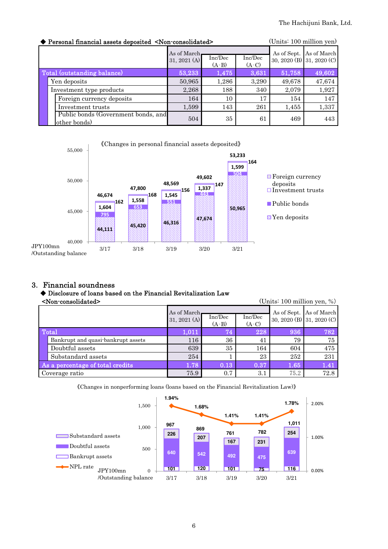|                             | Personal financial assets deposited <non-consolidated></non-consolidated> |                                                                            | (Units: 100 million yen) |       |        |                                                      |
|-----------------------------|---------------------------------------------------------------------------|----------------------------------------------------------------------------|--------------------------|-------|--------|------------------------------------------------------|
|                             |                                                                           | As of March.<br>Inc/Dec<br>Inc/Dec<br>31, 2021 $(A)$<br>$(A-C)$<br>$(A-B)$ |                          |       |        | As of Sept. As of March<br>30, 2020 (B) 31, 2020 (C) |
| Total (outstanding balance) |                                                                           | 53,233                                                                     | 1,475                    | 3,631 | 51,758 | 49,602                                               |
|                             | Yen deposits                                                              | 50,965                                                                     | 1,286                    | 3,290 | 49,678 | 47,674                                               |
|                             | Investment type products                                                  | 2,268                                                                      | 188                      | 340   | 2,079  | 1,927                                                |
|                             | Foreign currency deposits                                                 | 164                                                                        | 10                       | 17    | 154    | 147                                                  |
|                             | Investment trusts                                                         | 1,599                                                                      | 143                      | 261   | 1,455  | 1,337                                                |
|                             | Public bonds (Government bonds, and<br>other bonds)                       | 504                                                                        | 35                       | 61    | 469    | 443                                                  |



#### 3. Financial soundness

#### ◆ Disclosure of loans based on the Financial Revitalization Law

|  | <non-consolidated></non-consolidated> |
|--|---------------------------------------|

(Units: 100 million yen, %)

|                                    | As of March.<br>31, 2021 (A) | Inc/Dec<br>$(A-B)$ | Inc/Dec<br>$(A-C)$ |      | As of Sept. As of March<br>30, 2020 (B) 31, 2020 (C) |
|------------------------------------|------------------------------|--------------------|--------------------|------|------------------------------------------------------|
| Total                              | 1,011                        | 74                 | 228                | 936  | 782                                                  |
| Bankrupt and quasi-bankrupt assets | 116                          | 36                 | 41                 | 79   | 75                                                   |
| Doubtful assets                    | 639                          | 35                 | 164                | 604  | 475                                                  |
| Substandard assets                 | 254                          |                    | 23                 | 252  | 231                                                  |
| As a percentage of total credits   | 1.78                         | 0.13               | 0.37               | 1.65 | 1.41                                                 |
| Coverage ratio                     | 75.9                         | 0.7                | 3.1                | 75.2 | 72.8                                                 |

《Changes in nonperforming loans (loans based on the Financial Revitalization Law)》

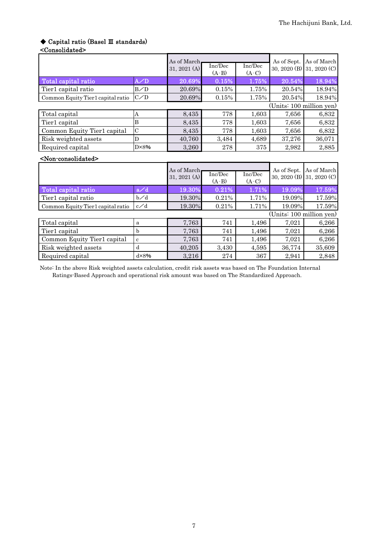# ◆ Capital ratio (Basel Ⅲ standards)

#### <Consolidated>

|                                       |                | As of March<br>31, 2021 $(A)$ | Inc/Dec            | Inc/Dec            | As of Sept.              | As of March<br>30, 2020 (B) 31, 2020 (C) |  |
|---------------------------------------|----------------|-------------------------------|--------------------|--------------------|--------------------------|------------------------------------------|--|
|                                       |                |                               | $(A-B)$            | $(A-C)$            |                          |                                          |  |
| Total capital ratio                   | A/D            | 20.69%                        | 0.15%              | 1.75%              | 20.54%                   | 18.94%                                   |  |
| Tier1 capital ratio                   | B/D            | 20.69%                        | 0.15%              | 1.75%              | 20.54%                   | 18.94%                                   |  |
| Common Equity Tier1 capital ratio     | C/D            | 20.69%                        | 0.15%              | 1.75%              | 20.54%                   | 18.94%                                   |  |
|                                       |                |                               |                    |                    | (Units: 100 million yen) |                                          |  |
| Total capital                         | Α              | 8,435                         | 778                | 1,603              | 7,656                    | 6,832                                    |  |
| Tier1 capital                         | B              | 8,435                         | 778                | 1,603              | 7,656                    | 6,832                                    |  |
| Common Equity Tier1 capital           | $\mathcal{C}$  | 8,435                         | 778                | 1,603              | 7,656                    | 6,832                                    |  |
| Risk weighted assets                  | D              | 40,760                        | 3,484              | 4,689              | 37,276                   | 36,071                                   |  |
| Required capital                      | $D \times 8\%$ | 3,260                         | 278                | 375                | 2,982                    | 2,885                                    |  |
| <non-consolidated></non-consolidated> |                |                               |                    |                    |                          |                                          |  |
|                                       |                | As of March                   |                    |                    | As of Sept.              | As of March                              |  |
|                                       |                | 31, 2021 $(A)$                | Inc/Dec<br>$(A-B)$ | Inc/Dec<br>$(A-C)$ |                          | 30, 2020 (B) 31, 2020 (C)                |  |
| Total capital ratio                   | a/d            | 19.30%                        | 0.21%              | 1.71%              | 19.09%                   | 17.59%                                   |  |

| TOROL CAPIDAL LADIO               |             | 1.0.0070 | 9.4170 | .     | 10.VO/V | 11.OO/U |  |
|-----------------------------------|-------------|----------|--------|-------|---------|---------|--|
| Tier1 capital ratio               | $b\angle d$ | 19.30%   | 0.21%  | 1.71% | 19.09%  | 17.59%  |  |
| Common Equity Tier1 capital ratio | c/d         | 19.30%   | 0.21%  | 1.71% | 19.09%  | 17.59%  |  |
| (Units: 100 million yen)          |             |          |        |       |         |         |  |
| Total capital                     | a           | 7,763    | 741    | 1,496 | 7.021   | 6,266   |  |
| Tier1 capital                     | h           | 7,763    | 741    | 1,496 | 7,021   | 6,266   |  |
| Common Equity Tier1 capital       | c           | 7,763    | 741    | 1,496 | 7.021   | 6,266   |  |
| Risk weighted assets              | d           | 40,205   | 3.430  | 4,595 | 36,774  | 35,609  |  |
| Required capital                  | dx8%        | 3,216    | 274    | 367   | 2.941   | 2,848   |  |

Note: In the above Risk weighted assets calculation, credit risk assets was based on The Foundation Internal Ratings-Based Approach and operational risk amount was based on The Standardized Approach.